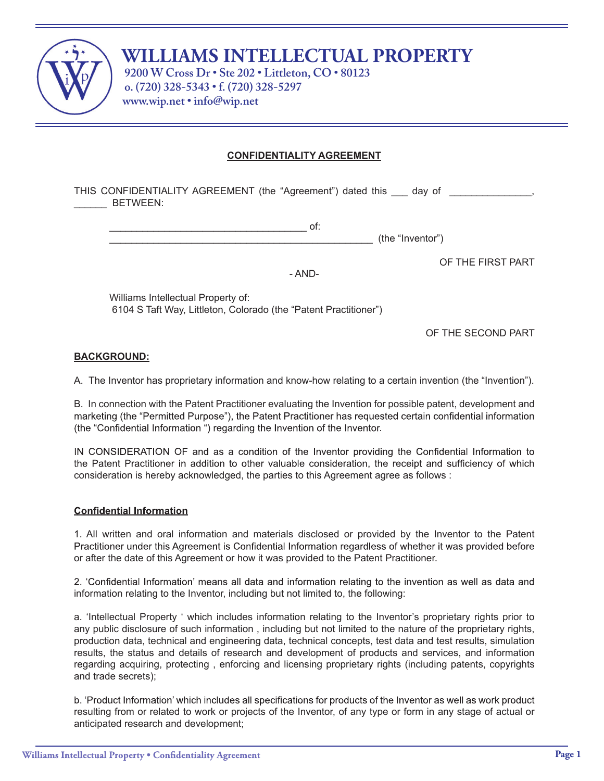

# **WILLIAMS INTELLECTUAL PROPERTY**

**9200 W Cross Dr • Ste 202 • Littleton, CO • 80123 o. (720) 328-5343 • f. (720) 328-5297 www.wip.net • info@wip.net**

# **CONFIDENTIALITY AGREEMENT**

THIS CONFIDENTIALITY AGREEMENT (the "Agreement") dated this \_\_\_ day of \_\_\_\_\_\_\_\_\_\_ \_\_\_\_\_\_ BETWEEN:

- AND-

\_\_\_\_\_\_\_\_\_\_\_\_\_\_\_\_\_\_\_\_\_\_\_\_\_\_\_\_\_\_\_\_\_\_\_\_\_\_\_\_\_\_\_\_\_\_\_\_ (the "Inventor")

OF THE FIRST PART

Williams Intellectual Property of: 6104 S Taft Way, Littleton, Colorado (the "Patent Practitioner")

OF THE SECOND PART

## **BACKGROUND:**

A. The Inventor has proprietary information and know-how relating to a certain invention (the "Invention").

B. In connection with the Patent Practitioner evaluating the Invention for possible patent, development and marketing (the "Permitted Purpose"), the Patent Practitioner has requested certain confidential information (the "Confidential Information ") regarding the Invention of the Inventor.

IN CONSIDERATION OF and as a condition of the Inventor providing the Confidential Information to the Patent Practitioner in addition to other valuable consideration, the receipt and sufficiency of which consideration is hereby acknowledged, the parties to this Agreement agree as follows :

## **Confidential Information**

1. All written and oral information and materials disclosed or provided by the Inventor to the Patent Practitioner under this Agreement is Confidential Information regardless of whether it was provided before or after the date of this Agreement or how it was provided to the Patent Practitioner.

2. 'Confidential Information' means all data and information relating to the invention as well as data and information relating to the Inventor, including but not limited to, the following:

a. 'Intellectual Property ' which includes information relating to the Inventor's proprietary rights prior to any public disclosure of such information , including but not limited to the nature of the proprietary rights, production data, technical and engineering data, technical concepts, test data and test results, simulation results, the status and details of research and development of products and services, and information regarding acquiring, protecting , enforcing and licensing proprietary rights (including patents, copyrights and trade secrets);

b. 'Product Information' which includes all specifications for products of the Inventor as well as work product resulting from or related to work or projects of the Inventor, of any type or form in any stage of actual or anticipated research and development;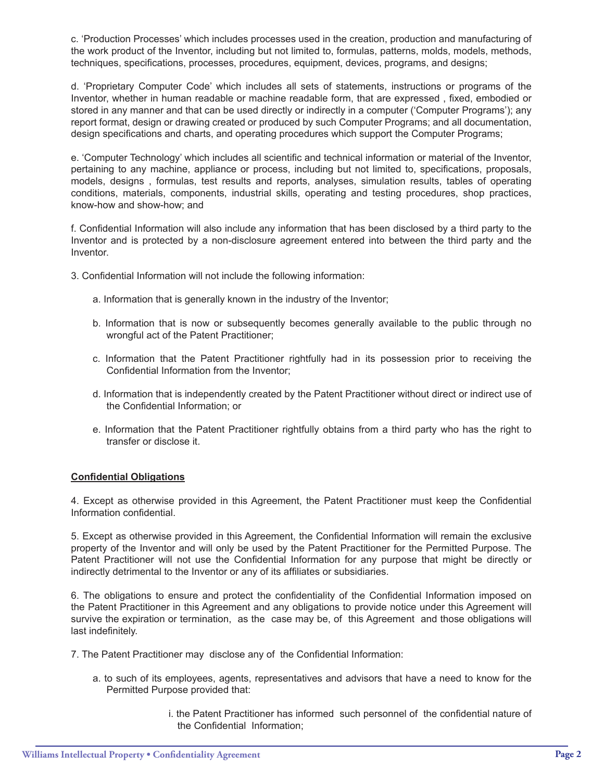c. 'Production Processes' which includes processes used in the creation, production and manufacturing of the work product of the Inventor, including but not limited to, formulas, patterns, molds, models, methods, techniques, specifications, processes, procedures, equipment, devices, programs, and designs;

d. 'Proprietary Computer Code' which includes all sets of statements, instructions or programs of the Inventor, whether in human readable or machine readable form, that are expressed , fixed, embodied or stored in any manner and that can be used directly or indirectly in a computer ('Computer Programs'); any report format, design or drawing created or produced by such Computer Programs; and all documentation, design specifications and charts, and operating procedures which support the Computer Programs;

e. 'Computer Technology' which includes all scientific and technical information or material of the Inventor, pertaining to any machine, appliance or process, including but not limited to, specifications, proposals, models, designs , formulas, test results and reports, analyses, simulation results, tables of operating conditions, materials, components, industrial skills, operating and testing procedures, shop practices, know-how and show-how; and

f. Confidential Information will also include any information that has been disclosed by a third party to the Inventor and is protected by a non-disclosure agreement entered into between the third party and the Inventor.

- 3. Confidential Information will not include the following information:
	- a. Information that is generally known in the industry of the Inventor;
	- b. Information that is now or subsequently becomes generally available to the public through no wrongful act of the Patent Practitioner;
	- c. Information that the Patent Practitioner rightfully had in its possession prior to receiving the Confidential Information from the Inventor;
	- d. Information that is independently created by the Patent Practitioner without direct or indirect use of the Confidential Information; or
	- e. Information that the Patent Practitioner rightfully obtains from a third party who has the right to transfer or disclose it.

## **Confidential Obligations**

4. Except as otherwise provided in this Agreement, the Patent Practitioner must keep the Confidential Information confidential.

5. Except as otherwise provided in this Agreement, the Confidential Information will remain the exclusive property of the Inventor and will only be used by the Patent Practitioner for the Permitted Purpose. The Patent Practitioner will not use the Confidential Information for any purpose that might be directly or indirectly detrimental to the Inventor or any of its affiliates or subsidiaries.

6. The obligations to ensure and protect the confidentiality of the Confidential Information imposed on the Patent Practitioner in this Agreement and any obligations to provide notice under this Agreement will survive the expiration or termination, as the case may be, of this Agreement and those obligations will last indefinitely.

7. The Patent Practitioner may disclose any of the Confidential Information:

- a. to such of its employees, agents, representatives and advisors that have a need to know for the Permitted Purpose provided that:
	- i. the Patent Practitioner has informed such personnel of the confidential nature of the Confidential Information;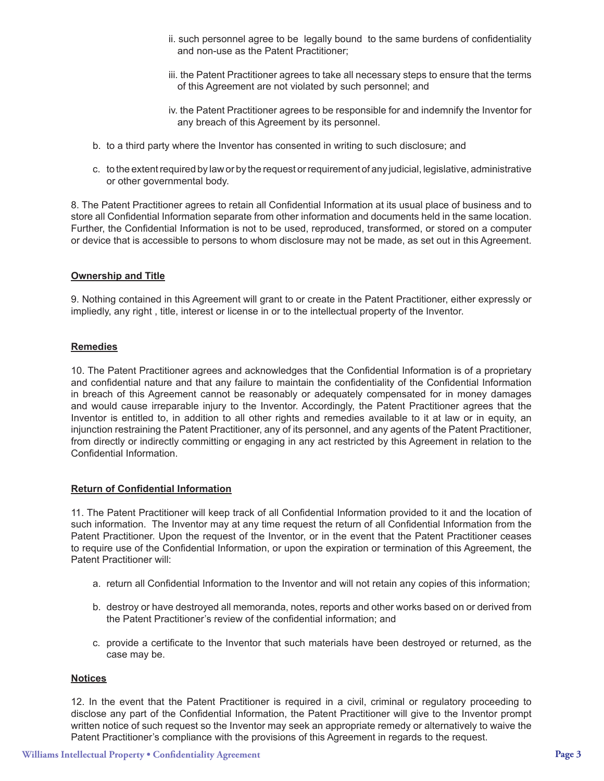- ii. such personnel agree to be legally bound to the same burdens of confidentiality and non-use as the Patent Practitioner;
- iii. the Patent Practitioner agrees to take all necessary steps to ensure that the terms of this Agreement are not violated by such personnel; and
- iv. the Patent Practitioner agrees to be responsible for and indemnify the Inventor for any breach of this Agreement by its personnel.
- b. to a third party where the Inventor has consented in writing to such disclosure; and
- c. to the extent required by law or by the request or requirement of any judicial, legislative, administrative or other governmental body.

8. The Patent Practitioner agrees to retain all Confidential Information at its usual place of business and to store all Confidential Information separate from other information and documents held in the same location. Further, the Confidential Information is not to be used, reproduced, transformed, or stored on a computer or device that is accessible to persons to whom disclosure may not be made, as set out in this Agreement.

#### **Ownership and Title**

9. Nothing contained in this Agreement will grant to or create in the Patent Practitioner, either expressly or impliedly, any right , title, interest or license in or to the intellectual property of the Inventor.

# **Remedies**

10. The Patent Practitioner agrees and acknowledges that the Confidential Information is of a proprietary and confidential nature and that any failure to maintain the confidentiality of the Confidential Information in breach of this Agreement cannot be reasonably or adequately compensated for in money damages and would cause irreparable injury to the Inventor. Accordingly, the Patent Practitioner agrees that the Inventor is entitled to, in addition to all other rights and remedies available to it at law or in equity, an injunction restraining the Patent Practitioner, any of its personnel, and any agents of the Patent Practitioner, from directly or indirectly committing or engaging in any act restricted by this Agreement in relation to the Confidential Information.

#### **Return of Confidential Information**

11. The Patent Practitioner will keep track of all Confidential Information provided to it and the location of such information. The Inventor may at any time request the return of all Confidential Information from the Patent Practitioner. Upon the request of the Inventor, or in the event that the Patent Practitioner ceases to require use of the Confidential Information, or upon the expiration or termination of this Agreement, the Patent Practitioner will:

- a. return all Confidential Information to the Inventor and will not retain any copies of this information;
- b. destroy or have destroyed all memoranda, notes, reports and other works based on or derived from the Patent Practitioner's review of the confidential information; and
- c. provide a certificate to the Inventor that such materials have been destroyed or returned, as the case may be.

#### **Notices**

12. In the event that the Patent Practitioner is required in a civil, criminal or regulatory proceeding to disclose any part of the Confidential Information, the Patent Practitioner will give to the Inventor prompt written notice of such request so the Inventor may seek an appropriate remedy or alternatively to waive the Patent Practitioner's compliance with the provisions of this Agreement in regards to the request.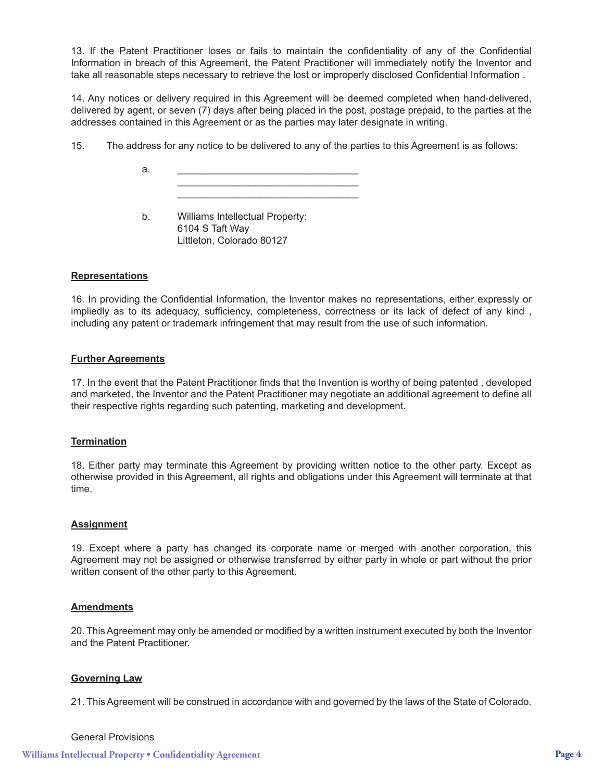13. If the Patent Practitioner loses or fails to maintain the confidentiality of any of the Confidential Information in breach of this Agreement, the Patent Practitioner will immediately notify the Inventor and take all reasonable steps necessary to retrieve the lost or improperly disclosed Confidential Information .

14. Any notices or delivery required in this Agreement will be deemed completed when hand-delivered, delivered by agent, or seven (7) days after being placed in the post, postage prepaid, to the parties at the addresses contained in this Agreement or as the parties may later designate in writing.

15. The address for any notice to be delivered to any of the parties to this Agreement is as follows:

a.  $\qquad \qquad \overline{\qquad \qquad }$  $\overline{\phantom{a}}$  ,  $\overline{\phantom{a}}$  ,  $\overline{\phantom{a}}$  ,  $\overline{\phantom{a}}$  ,  $\overline{\phantom{a}}$  ,  $\overline{\phantom{a}}$  ,  $\overline{\phantom{a}}$  ,  $\overline{\phantom{a}}$  ,  $\overline{\phantom{a}}$  ,  $\overline{\phantom{a}}$  ,  $\overline{\phantom{a}}$  ,  $\overline{\phantom{a}}$  ,  $\overline{\phantom{a}}$  ,  $\overline{\phantom{a}}$  ,  $\overline{\phantom{a}}$  ,  $\overline{\phantom{a}}$ 

> b. Williams Intellectual Property: 6104 S Taft Way Littleton, Colorado 80127

 $\overline{\phantom{a}}$  ,  $\overline{\phantom{a}}$  ,  $\overline{\phantom{a}}$  ,  $\overline{\phantom{a}}$  ,  $\overline{\phantom{a}}$  ,  $\overline{\phantom{a}}$  ,  $\overline{\phantom{a}}$  ,  $\overline{\phantom{a}}$  ,  $\overline{\phantom{a}}$  ,  $\overline{\phantom{a}}$  ,  $\overline{\phantom{a}}$  ,  $\overline{\phantom{a}}$  ,  $\overline{\phantom{a}}$  ,  $\overline{\phantom{a}}$  ,  $\overline{\phantom{a}}$  ,  $\overline{\phantom{a}}$ 

#### **Representations**

16. In providing the Confidential Information, the Inventor makes no representations, either expressly or impliedly as to its adequacy, sufficiency, completeness, correctness or its lack of defect of any kind , including any patent or trademark infringement that may result from the use of such information.

#### **Further Agreements**

17. In the event that the Patent Practitioner finds that the Invention is worthy of being patented , developed and marketed, the Inventor and the Patent Practitioner may negotiate an additional agreement to define all their respective rights regarding such patenting, marketing and development.

#### **Termination**

18. Either party may terminate this Agreement by providing written notice to the other party. Except as otherwise provided in this Agreement, all rights and obligations under this Agreement will terminate at that time.

#### **Assignment**

19. Except where a party has changed its corporate name or merged with another corporation, this Agreement may not be assigned or otherwise transferred by either party in whole or part without the prior written consent of the other party to this Agreement.

# **Amendments**

20. This Agreement may only be amended or modified by a written instrument executed by both the Inventor and the Patent Practitioner.

## **Governing Law**

21. This Agreement will be construed in accordance with and governed by the laws of the State of Colorado.

#### General Provisions